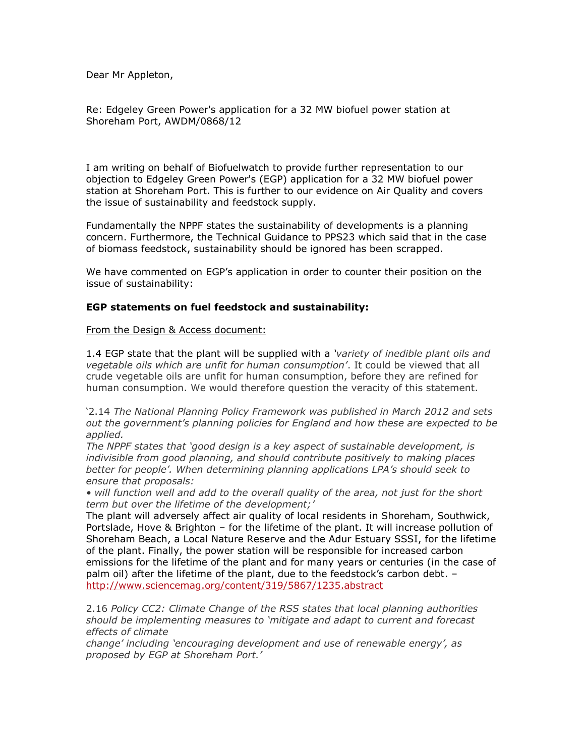Dear Mr Appleton,

Re: Edgeley Green Power's application for a 32 MW biofuel power station at Shoreham Port, AWDM/0868/12

I am writing on behalf of Biofuelwatch to provide further representation to our objection to Edgeley Green Power's (EGP) application for a 32 MW biofuel power station at Shoreham Port. This is further to our evidence on Air Quality and covers the issue of sustainability and feedstock supply.

Fundamentally the NPPF states the sustainability of developments is a planning concern. Furthermore, the Technical Guidance to PPS23 which said that in the case of biomass feedstock, sustainability should be ignored has been scrapped.

We have commented on EGP's application in order to counter their position on the issue of sustainability:

# **EGP statements on fuel feedstock and sustainability:**

From the Design & Access document:

1.4 EGP state that the plant will be supplied with a *'variety of inedible plant oils and vegetable oils which are unfit for human consumption'*. It could be viewed that all crude vegetable oils are unfit for human consumption, before they are refined for human consumption. We would therefore question the veracity of this statement.

'2.14 *The National Planning Policy Framework was published in March 2012 and sets out the government's planning policies for England and how these are expected to be applied.*

*The NPPF states that 'good design is a key aspect of sustainable development, is indivisible from good planning, and should contribute positively to making places better for people'. When determining planning applications LPA's should seek to ensure that proposals:*

*• will function well and add to the overall quality of the area, not just for the short term but over the lifetime of the development;'*

The plant will adversely affect air quality of local residents in Shoreham, Southwick, Portslade, Hove & Brighton – for the lifetime of the plant. It will increase pollution of Shoreham Beach, a Local Nature Reserve and the Adur Estuary SSSI, for the lifetime of the plant. Finally, the power station will be responsible for increased carbon emissions for the lifetime of the plant and for many years or centuries (in the case of palm oil) after the lifetime of the plant, due to the feedstock's carbon debt. – <http://www.sciencemag.org/content/319/5867/1235.abstract>

2.16 *Policy CC2: Climate Change of the RSS states that local planning authorities should be implementing measures to 'mitigate and adapt to current and forecast effects of climate*

*change' including 'encouraging development and use of renewable energy', as proposed by EGP at Shoreham Port.'*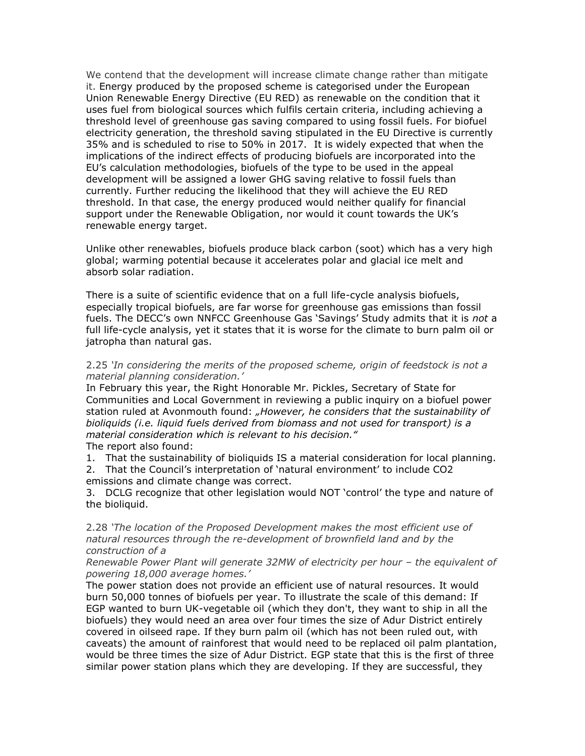We contend that the development will increase climate change rather than mitigate it. Energy produced by the proposed scheme is categorised under the European Union Renewable Energy Directive (EU RED) as renewable on the condition that it uses fuel from biological sources which fulfils certain criteria, including achieving a threshold level of greenhouse gas saving compared to using fossil fuels. For biofuel electricity generation, the threshold saving stipulated in the EU Directive is currently 35% and is scheduled to rise to 50% in 2017. It is widely expected that when the implications of the indirect effects of producing biofuels are incorporated into the EU's calculation methodologies, biofuels of the type to be used in the appeal development will be assigned a lower GHG saving relative to fossil fuels than currently. Further reducing the likelihood that they will achieve the EU RED threshold. In that case, the energy produced would neither qualify for financial support under the Renewable Obligation, nor would it count towards the UK's renewable energy target.

Unlike other renewables, biofuels produce black carbon (soot) which has a very high global; warming potential because it accelerates polar and glacial ice melt and absorb solar radiation.

There is a suite of scientific evidence that on a full life-cycle analysis biofuels, especially tropical biofuels, are far worse for greenhouse gas emissions than fossil fuels. The DECC's own NNFCC Greenhouse Gas 'Savings' Study admits that it is *not* a full life-cycle analysis, yet it states that it is worse for the climate to burn palm oil or jatropha than natural gas.

2.25 *'In considering the merits of the proposed scheme, origin of feedstock is not a material planning consideration.'*

In February this year, the Right Honorable Mr. Pickles, Secretary of State for Communities and Local Government in reviewing a public inquiry on a biofuel power station ruled at Avonmouth found: *"However, he considers that the sustainability of bioliquids (i.e. liquid fuels derived from biomass and not used for transport) is a material consideration which is relevant to his decision."*

The report also found:

1. That the sustainability of bioliquids IS a material consideration for local planning.

2. That the Council's interpretation of 'natural environment' to include CO2 emissions and climate change was correct.

3. DCLG recognize that other legislation would NOT 'control' the type and nature of the bioliquid.

2.28 *'The location of the Proposed Development makes the most efficient use of natural resources through the re-development of brownfield land and by the construction of a*

*Renewable Power Plant will generate 32MW of electricity per hour - the equivalent of powering 18,000 average homes.'*

The power station does not provide an efficient use of natural resources. It would burn 50,000 tonnes of biofuels per year. To illustrate the scale of this demand: If EGP wanted to burn UK-vegetable oil (which they don't, they want to ship in all the biofuels) they would need an area over four times the size of Adur District entirely covered in oilseed rape. If they burn palm oil (which has not been ruled out, with caveats) the amount of rainforest that would need to be replaced oil palm plantation, would be three times the size of Adur District. EGP state that this is the first of three similar power station plans which they are developing. If they are successful, they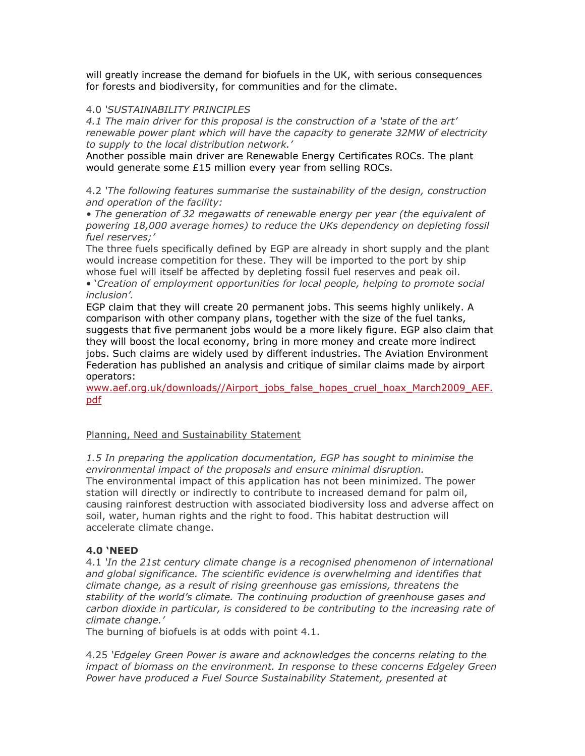will greatly increase the demand for biofuels in the UK, with serious consequences for forests and biodiversity, for communities and for the climate.

## 4.0 *'SUSTAINABILITY PRINCIPLES*

*4.1 The main driver for this proposal is the construction of a 'state of the art' renewable power plant which will have the capacity to generate 32MW of electricity to supply to the local distribution network.'*

Another possible main driver are Renewable Energy Certificates ROCs. The plant would generate some £15 million every year from selling ROCs.

4.2 *'The following features summarise the sustainability of the design, construction and operation of the facility:*

*• The generation of 32 megawatts of renewable energy per year (the equivalent of powering 18,000 average homes) to reduce the UKs dependency on depleting fossil fuel reserves;'*

The three fuels specifically defined by EGP are already in short supply and the plant would increase competition for these. They will be imported to the port by ship whose fuel will itself be affected by depleting fossil fuel reserves and peak oil.

• '*Creation of employment opportunities for local people, helping to promote social inclusion'.*

EGP claim that they will create 20 permanent jobs. This seems highly unlikely. A comparison with other company plans, together with the size of the fuel tanks, suggests that five permanent jobs would be a more likely figure. EGP also claim that they will boost the local economy, bring in more money and create more indirect jobs. Such claims are widely used by different industries. The Aviation Environment Federation has published an analysis and critique of similar claims made by airport operators:

[www.aef.org.uk/downloads//Airport\\_jobs\\_false\\_hopes\\_cruel\\_hoax\\_March2009\\_AEF.](http://www.aef.org.uk/downloads/Airport_jobs_false_hopes_cruel_hoax_March2009_AEF.pdf) [pdf](http://www.aef.org.uk/downloads/Airport_jobs_false_hopes_cruel_hoax_March2009_AEF.pdf)

# Planning, Need and Sustainability Statement

*1.5 In preparing the application documentation, EGP has sought to minimise the environmental impact of the proposals and ensure minimal disruption.* The environmental impact of this application has not been minimized. The power station will directly or indirectly to contribute to increased demand for palm oil, causing rainforest destruction with associated biodiversity loss and adverse affect on soil, water, human rights and the right to food. This habitat destruction will accelerate climate change.

# **4.0 'NEED**

4.1 *'In the 21st century climate change is a recognised phenomenon of international*  and global significance. The scientific evidence is overwhelming and identifies that *climate change, as a result of rising greenhouse gas emissions, threatens the stability of the world's climate. The continuing production of greenhouse gases and carbon dioxide in particular, is considered to be contributing to the increasing rate of climate change.'*

The burning of biofuels is at odds with point 4.1.

4.25 *'Edgeley Green Power is aware and acknowledges the concerns relating to the impact of biomass on the environment. In response to these concerns Edgeley Green Power have produced a Fuel Source Sustainability Statement, presented at*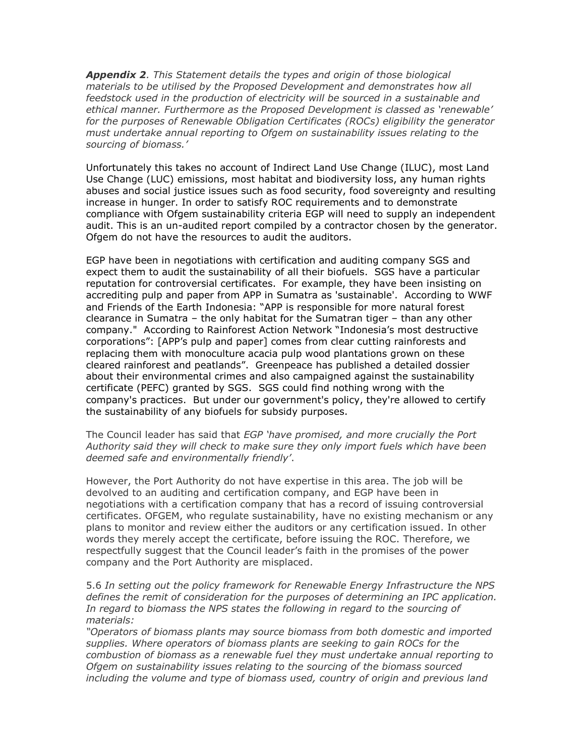*Appendix 2. This Statement details the types and origin of those biological materials to be utilised by the Proposed Development and demonstrates how all*  feedstock used in the production of electricity will be sourced in a sustainable and *ethical manner. Furthermore as the Proposed Development is classed as 'renewable' for the purposes of Renewable Obligation Certificates (ROCs) eligibility the generator must undertake annual reporting to Ofgem on sustainability issues relating to the sourcing of biomass.'*

Unfortunately this takes no account of Indirect Land Use Change (ILUC), most Land Use Change (LUC) emissions, most habitat and biodiversity loss, any human rights abuses and social justice issues such as food security, food sovereignty and resulting increase in hunger. In order to satisfy ROC requirements and to demonstrate compliance with Ofgem sustainability criteria EGP will need to supply an independent audit. This is an un-audited report compiled by a contractor chosen by the generator. Ofgem do not have the resources to audit the auditors.

EGP have been in negotiations with certification and auditing company SGS and expect them to audit the sustainability of all their biofuels. SGS have a particular reputation for controversial certificates. For example, they have been insisting on accrediting pulp and paper from APP in Sumatra as 'sustainable'. According to WWF and Friends of the Earth Indonesia: "APP is responsible for more natural forest clearance in Sumatra – the only habitat for the Sumatran tiger – than any other company." According to Rainforest Action Network "Indonesia's most destructive corporations": [APP's pulp and paper] comes from clear cutting rainforests and replacing them with monoculture acacia pulp wood plantations grown on these cleared rainforest and peatlands". Greenpeace has published a detailed dossier about their environmental crimes and also campaigned against the sustainability certificate (PEFC) granted by SGS. SGS could find nothing wrong with the company's practices. But under our government's policy, they're allowed to certify the sustainability of any biofuels for subsidy purposes.

### The Council leader has said that *EGP 'have promised, and more crucially the Port Authority said they will check to make sure they only import fuels which have been deemed safe and environmentally friendly'*.

However, the Port Authority do not have expertise in this area. The job will be devolved to an auditing and certification company, and EGP have been in negotiations with a certification company that has a record of issuing controversial certificates. OFGEM, who regulate sustainability, have no existing mechanism or any plans to monitor and review either the auditors or any certification issued. In other words they merely accept the certificate, before issuing the ROC. Therefore, we respectfully suggest that the Council leader's faith in the promises of the power company and the Port Authority are misplaced.

## 5.6 *In setting out the policy framework for Renewable Energy Infrastructure the NPS defines the remit of consideration for the purposes of determining an IPC application.*  In regard to biomass the NPS states the following in regard to the sourcing of *materials:*

*"Operators of biomass plants may source biomass from both domestic and imported supplies. Where operators of biomass plants are seeking to gain ROCs for the combustion of biomass as a renewable fuel they must undertake annual reporting to Ofgem on sustainability issues relating to the sourcing of the biomass sourced including the volume and type of biomass used, country of origin and previous land*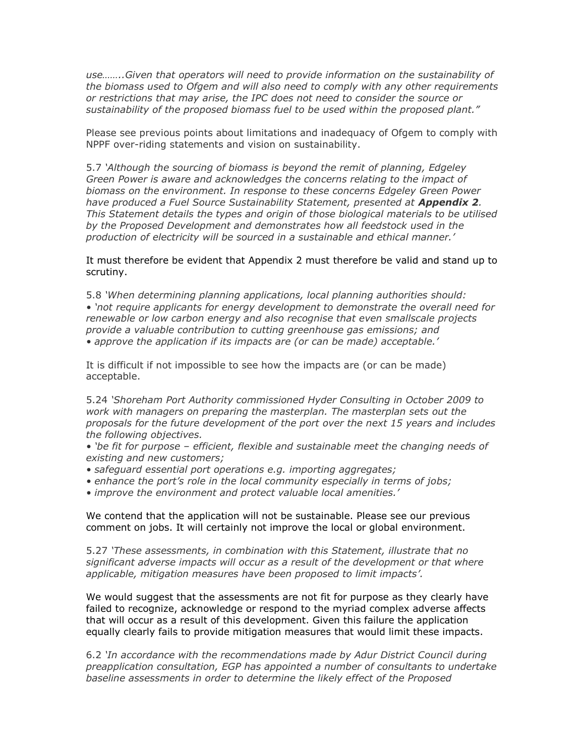*use……..Given that operators will need to provide information on the sustainability of the biomass used to Ofgem and will also need to comply with any other requirements or restrictions that may arise, the IPC does not need to consider the source or sustainability of the proposed biomass fuel to be used within the proposed plant."*

Please see previous points about limitations and inadequacy of Ofgem to comply with NPPF over-riding statements and vision on sustainability.

5.7 *'Although the sourcing of biomass is beyond the remit of planning, Edgeley Green Power is aware and acknowledges the concerns relating to the impact of biomass on the environment. In response to these concerns Edgeley Green Power have produced a Fuel Source Sustainability Statement, presented at Appendix 2. This Statement details the types and origin of those biological materials to be utilised by the Proposed Development and demonstrates how all feedstock used in the production of electricity will be sourced in a sustainable and ethical manner.'*

It must therefore be evident that Appendix 2 must therefore be valid and stand up to scrutiny.

5.8 *'When determining planning applications, local planning authorities should: • 'not require applicants for energy development to demonstrate the overall need for renewable or low carbon energy and also recognise that even smallscale projects provide a valuable contribution to cutting greenhouse gas emissions; and • approve the application if its impacts are (or can be made) acceptable.'* 

It is difficult if not impossible to see how the impacts are (or can be made) acceptable.

5.24 *'Shoreham Port Authority commissioned Hyder Consulting in October 2009 to work with managers on preparing the masterplan. The masterplan sets out the proposals for the future development of the port over the next 15 years and includes the following objectives.*

*• 'be fit for purpose – efficient, flexible and sustainable meet the changing needs of existing and new customers;*

- *safeguard essential port operations e.g. importing aggregates;*
- enhance the port's role in the local community especially in terms of jobs;
- *improve the environment and protect valuable local amenities.'*

We contend that the application will not be sustainable. Please see our previous comment on jobs. It will certainly not improve the local or global environment.

5.27 *'These assessments, in combination with this Statement, illustrate that no significant adverse impacts will occur as a result of the development or that where applicable, mitigation measures have been proposed to limit impacts'.*

We would suggest that the assessments are not fit for purpose as they clearly have failed to recognize, acknowledge or respond to the myriad complex adverse affects that will occur as a result of this development. Given this failure the application equally clearly fails to provide mitigation measures that would limit these impacts.

6.2 *'In accordance with the recommendations made by Adur District Council during preapplication consultation, EGP has appointed a number of consultants to undertake baseline assessments in order to determine the likely effect of the Proposed*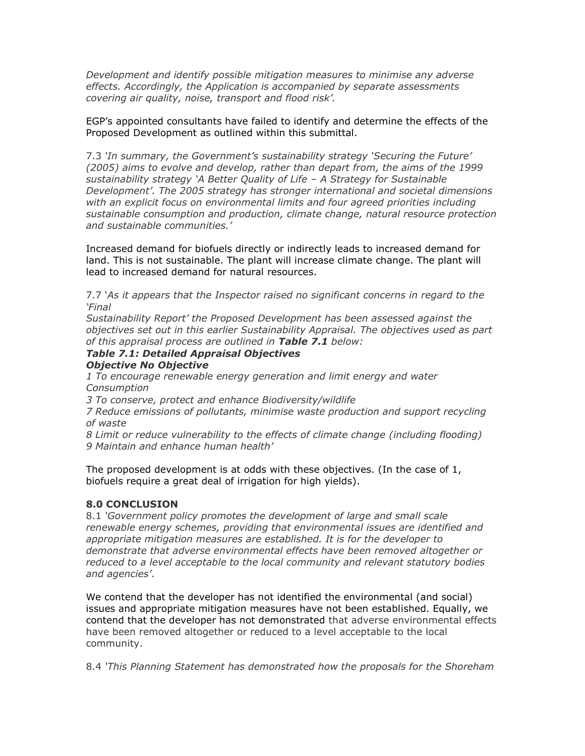*Development and identify possible mitigation measures to minimise any adverse effects. Accordingly, the Application is accompanied by separate assessments covering air quality, noise, transport and flood risk'.*

EGP's appointed consultants have failed to identify and determine the effects of the Proposed Development as outlined within this submittal.

7.3 *'In summary, the Government's sustainability strategy 'Securing the Future' (2005) aims to evolve and develop, rather than depart from, the aims of the 1999 sustainability strategy 'A Better Quality of Life – A Strategy for Sustainable Development'. The 2005 strategy has stronger international and societal dimensions with an explicit focus on environmental limits and four agreed priorities including sustainable consumption and production, climate change, natural resource protection and sustainable communities.'*

Increased demand for biofuels directly or indirectly leads to increased demand for land. This is not sustainable. The plant will increase climate change. The plant will lead to increased demand for natural resources.

7.7 '*As it appears that the Inspector raised no significant concerns in regard to the 'Final*

*Sustainability Report' the Proposed Development has been assessed against the objectives set out in this earlier Sustainability Appraisal. The objectives used as part of this appraisal process are outlined in Table 7.1 below:*

#### *Table 7.1: Detailed Appraisal Objectives Objective No Objective*

*1 To encourage renewable energy generation and limit energy and water Consumption*

*3 To conserve, protect and enhance Biodiversity/wildlife*

*7 Reduce emissions of pollutants, minimise waste production and support recycling of waste*

*8 Limit or reduce vulnerability to the effects of climate change (including flooding) 9 Maintain and enhance human health'*

The proposed development is at odds with these objectives. (In the case of 1, biofuels require a great deal of irrigation for high yields).

# **8.0 CONCLUSION**

8.1 *'Government policy promotes the development of large and small scale renewable energy schemes, providing that environmental issues are identified and appropriate mitigation measures are established. It is for the developer to demonstrate that adverse environmental effects have been removed altogether or reduced to a level acceptable to the local community and relevant statutory bodies and agencies'*.

We contend that the developer has not identified the environmental (and social) issues and appropriate mitigation measures have not been established. Equally, we contend that the developer has not demonstrated that adverse environmental effects have been removed altogether or reduced to a level acceptable to the local community.

8.4 *'This Planning Statement has demonstrated how the proposals for the Shoreham*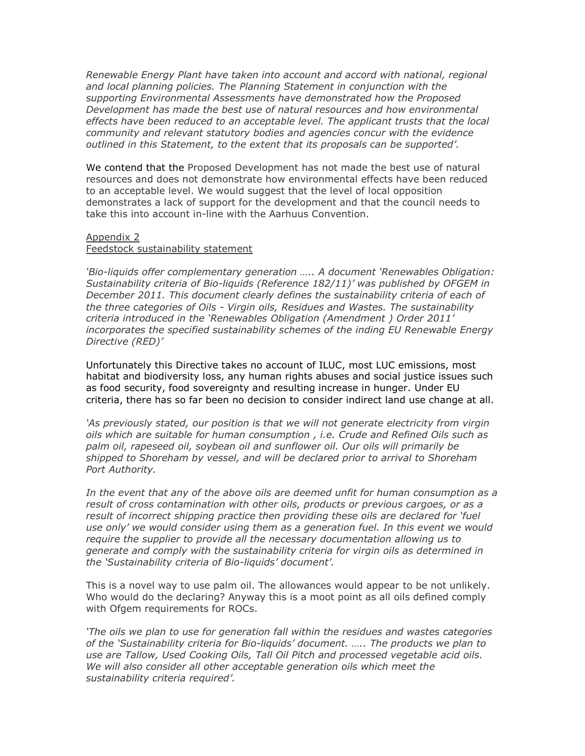*Renewable Energy Plant have taken into account and accord with national, regional and local planning policies. The Planning Statement in conjunction with the supporting Environmental Assessments have demonstrated how the Proposed Development has made the best use of natural resources and how environmental effects have been reduced to an acceptable level. The applicant trusts that the local community and relevant statutory bodies and agencies concur with the evidence outlined in this Statement, to the extent that its proposals can be supported'.*

We contend that the Proposed Development has not made the best use of natural resources and does not demonstrate how environmental effects have been reduced to an acceptable level. We would suggest that the level of local opposition demonstrates a lack of support for the development and that the council needs to take this into account in-line with the Aarhuus Convention.

### Appendix 2

# Feedstock sustainability statement

*'Bio-liquids offer complementary generation ….. A document 'Renewables Obligation: Sustainability criteria of Bio-liquids (Reference 182/11)' was published by OFGEM in*  December 2011. This document clearly defines the sustainability criteria of each of *the three categories of Oils - Virgin oils, Residues and Wastes. The sustainability criteria introduced in the 'Renewables Obligation (Amendment ) Order 2011' incorporates the specified sustainability schemes of the inding EU Renewable Energy Directive (RED)'*

Unfortunately this Directive takes no account of ILUC, most LUC emissions, most habitat and biodiversity loss, any human rights abuses and social justice issues such as food security, food sovereignty and resulting increase in hunger. Under EU criteria, there has so far been no decision to consider indirect land use change at all.

*'As previously stated, our position is that we will not generate electricity from virgin oils which are suitable for human consumption , i.e. Crude and Refined Oils such as palm oil, rapeseed oil, soybean oil and sunflower oil. Our oils will primarily be shipped to Shoreham by vessel, and will be declared prior to arrival to Shoreham Port Authority.*

*In the event that any of the above oils are deemed unfit for human consumption as a result of cross contamination with other oils, products or previous cargoes, or as a result of incorrect shipping practice then providing these oils are declared for 'fuel use only' we would consider using them as a generation fuel. In this event we would require the supplier to provide all the necessary documentation allowing us to generate and comply with the sustainability criteria for virgin oils as determined in the 'Sustainability criteria of Bio-liquids' document'.*

This is a novel way to use palm oil. The allowances would appear to be not unlikely. Who would do the declaring? Anyway this is a moot point as all oils defined comply with Ofgem requirements for ROCs.

*'The oils we plan to use for generation fall within the residues and wastes categories of the 'Sustainability criteria for Bio-liquids' document. ….. The products we plan to use are Tallow, Used Cooking Oils, Tall Oil Pitch and processed vegetable acid oils. We will also consider all other acceptable generation oils which meet the sustainability criteria required'.*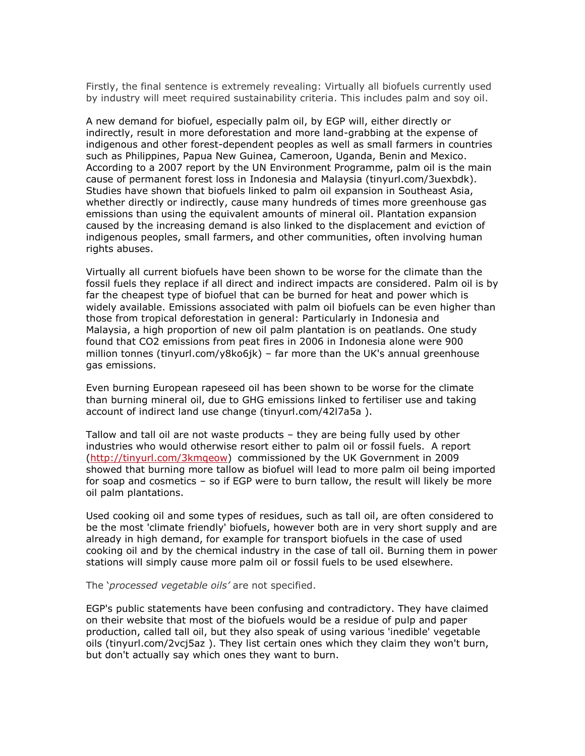Firstly, the final sentence is extremely revealing: Virtually all biofuels currently used by industry will meet required sustainability criteria. This includes palm and soy oil.

A new demand for biofuel, especially palm oil, by EGP will, either directly or indirectly, result in more deforestation and more land-grabbing at the expense of indigenous and other forest-dependent peoples as well as small farmers in countries such as Philippines, Papua New Guinea, Cameroon, Uganda, Benin and Mexico. According to a 2007 report by the UN Environment Programme, palm oil is the main cause of permanent forest loss in Indonesia and Malaysia (tinyurl.com/3uexbdk). Studies have shown that biofuels linked to palm oil expansion in Southeast Asia, whether directly or indirectly, cause many hundreds of times more greenhouse gas emissions than using the equivalent amounts of mineral oil. Plantation expansion caused by the increasing demand is also linked to the displacement and eviction of indigenous peoples, small farmers, and other communities, often involving human rights abuses.

Virtually all current biofuels have been shown to be worse for the climate than the fossil fuels they replace if all direct and indirect impacts are considered. Palm oil is by far the cheapest type of biofuel that can be burned for heat and power which is widely available. Emissions associated with palm oil biofuels can be even higher than those from tropical deforestation in general: Particularly in Indonesia and Malaysia, a high proportion of new oil palm plantation is on peatlands. One study found that CO2 emissions from peat fires in 2006 in Indonesia alone were 900 million tonnes (tinyurl.com/y8ko6jk) – far more than the UK's annual greenhouse gas emissions.

Even burning European rapeseed oil has been shown to be worse for the climate than burning mineral oil, due to GHG emissions linked to fertiliser use and taking account of indirect land use change (tinyurl.com/42l7a5a ).

Tallow and tall oil are not waste products – they are being fully used by other industries who would otherwise resort either to palm oil or fossil fuels. A report [\(http://tinyurl.com/3kmqeow\)](http://tinyurl.com/3kmqeow) commissioned by the UK Government in 2009 showed that burning more tallow as biofuel will lead to more palm oil being imported for soap and cosmetics – so if EGP were to burn tallow, the result will likely be more oil palm plantations.

Used cooking oil and some types of residues, such as tall oil, are often considered to be the most 'climate friendly' biofuels, however both are in very short supply and are already in high demand, for example for transport biofuels in the case of used cooking oil and by the chemical industry in the case of tall oil. Burning them in power stations will simply cause more palm oil or fossil fuels to be used elsewhere.

The '*processed vegetable oils'* are not specified.

EGP's public statements have been confusing and contradictory. They have claimed on their website that most of the biofuels would be a residue of pulp and paper production, called tall oil, but they also speak of using various 'inedible' vegetable oils (tinyurl.com/2vcj5az ). They list certain ones which they claim they won't burn, but don't actually say which ones they want to burn.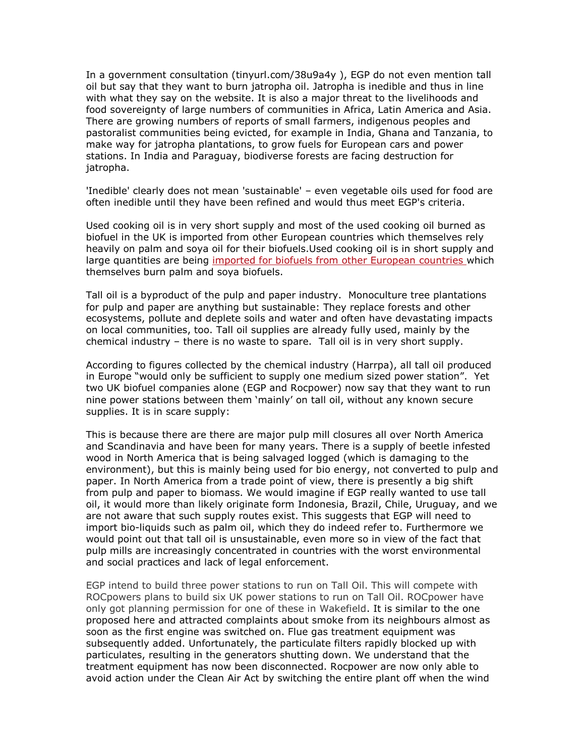In a government consultation (tinyurl.com/38u9a4y ), EGP do not even mention tall oil but say that they want to burn jatropha oil. Jatropha is inedible and thus in line with what they say on the website. It is also a major threat to the livelihoods and food sovereignty of large numbers of communities in Africa, Latin America and Asia. There are growing numbers of reports of small farmers, indigenous peoples and pastoralist communities being evicted, for example in India, Ghana and Tanzania, to make way for jatropha plantations, to grow fuels for European cars and power stations. In India and Paraguay, biodiverse forests are facing destruction for jatropha.

'Inedible' clearly does not mean 'sustainable' – even vegetable oils used for food are often inedible until they have been refined and would thus meet EGP's criteria.

Used cooking oil is in very short supply and most of the used cooking oil burned as biofuel in the UK is imported from other European countries which themselves rely heavily on palm and soya oil for their biofuels.Used cooking oil is in short supply and large quantities are being [imported for biofuels from other European countries w](http://www2.dft.gov.uk/pgr/statistics/datatablespublications/biofuels/)hich themselves burn palm and soya biofuels.

Tall oil is a byproduct of the pulp and paper industry. Monoculture tree plantations for pulp and paper are anything but sustainable: They replace forests and other ecosystems, pollute and deplete soils and water and often have devastating impacts on local communities, too. Tall oil supplies are already fully used, mainly by the chemical industry – there is no waste to spare. Tall oil is in very short supply.

According to figures collected by the chemical industry (Harrpa), all tall oil produced in Europe "would only be sufficient to supply one medium sized power station". Yet two UK biofuel companies alone (EGP and Rocpower) now say that they want to run nine power stations between them 'mainly' on tall oil, without any known secure supplies. It is in scare supply:

This is because there are there are major pulp mill closures all over North America and Scandinavia and have been for many years. There is a supply of beetle infested wood in North America that is being salvaged logged (which is damaging to the environment), but this is mainly being used for bio energy, not converted to pulp and paper. In North America from a trade point of view, there is presently a big shift from pulp and paper to biomass. We would imagine if EGP really wanted to use tall oil, it would more than likely originate form Indonesia, Brazil, Chile, Uruguay, and we are not aware that such supply routes exist. This suggests that EGP will need to import bio-liquids such as palm oil, which they do indeed refer to. Furthermore we would point out that tall oil is unsustainable, even more so in view of the fact that pulp mills are increasingly concentrated in countries with the worst environmental and social practices and lack of legal enforcement.

EGP intend to build three power stations to run on Tall Oil. This will compete with ROCpowers plans to build six UK power stations to run on Tall Oil. ROCpower have only got planning permission for one of these in Wakefield. It is similar to the one proposed here and attracted complaints about smoke from its neighbours almost as soon as the first engine was switched on. Flue gas treatment equipment was subsequently added. Unfortunately, the particulate filters rapidly blocked up with particulates, resulting in the generators shutting down. We understand that the treatment equipment has now been disconnected. Rocpower are now only able to avoid action under the Clean Air Act by switching the entire plant off when the wind